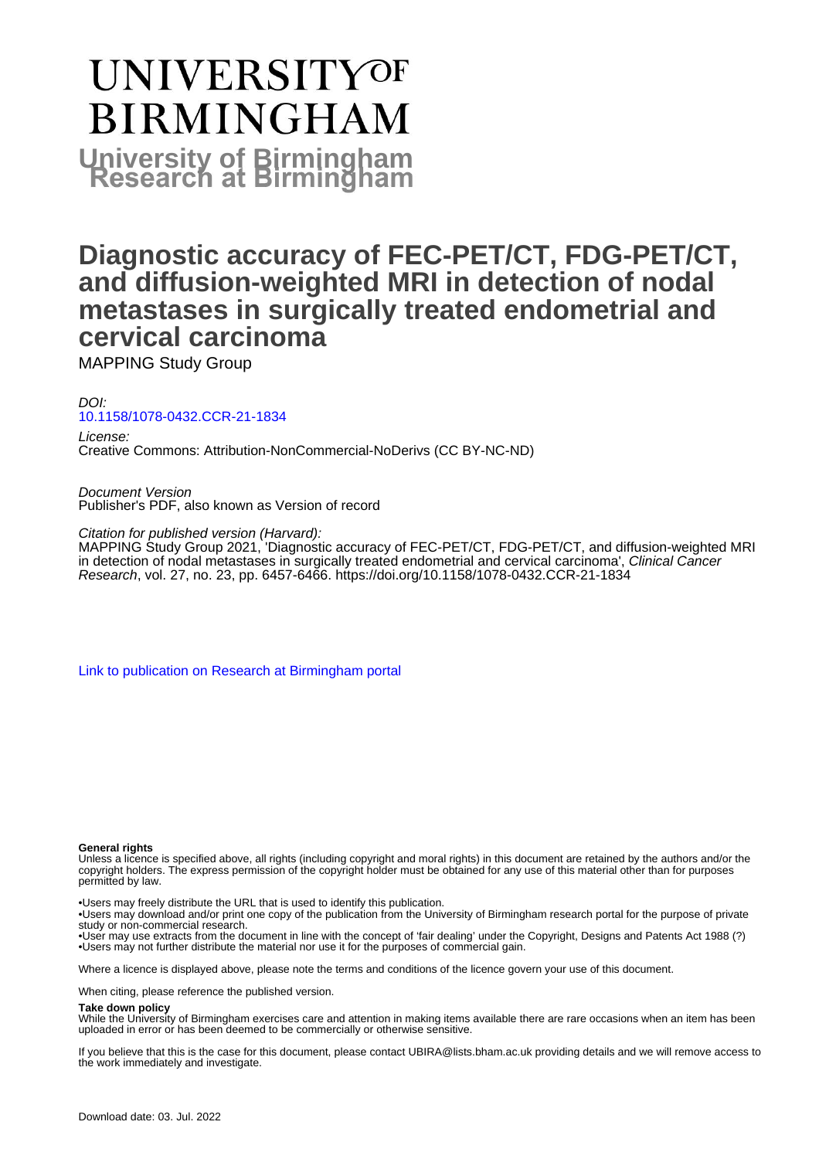# UNIVERSITYOF **BIRMINGHAM University of Birmingham**

# **Diagnostic accuracy of FEC-PET/CT, FDG-PET/CT, and diffusion-weighted MRI in detection of nodal metastases in surgically treated endometrial and cervical carcinoma**

MAPPING Study Group

DOI: [10.1158/1078-0432.CCR-21-1834](https://doi.org/10.1158/1078-0432.CCR-21-1834)

License: Creative Commons: Attribution-NonCommercial-NoDerivs (CC BY-NC-ND)

Document Version Publisher's PDF, also known as Version of record

Citation for published version (Harvard):

MAPPING Study Group 2021, 'Diagnostic accuracy of FEC-PET/CT, FDG-PET/CT, and diffusion-weighted MRI in detection of nodal metastases in surgically treated endometrial and cervical carcinoma', Clinical Cancer Research, vol. 27, no. 23, pp. 6457-6466. <https://doi.org/10.1158/1078-0432.CCR-21-1834>

[Link to publication on Research at Birmingham portal](https://birmingham.elsevierpure.com/en/publications/b71d7a8a-8501-4edb-ad1b-fb2eb6e42669)

## **General rights**

Unless a licence is specified above, all rights (including copyright and moral rights) in this document are retained by the authors and/or the copyright holders. The express permission of the copyright holder must be obtained for any use of this material other than for purposes permitted by law.

• Users may freely distribute the URL that is used to identify this publication.

• Users may download and/or print one copy of the publication from the University of Birmingham research portal for the purpose of private study or non-commercial research.

• User may use extracts from the document in line with the concept of 'fair dealing' under the Copyright, Designs and Patents Act 1988 (?) • Users may not further distribute the material nor use it for the purposes of commercial gain.

Where a licence is displayed above, please note the terms and conditions of the licence govern your use of this document.

When citing, please reference the published version.

## **Take down policy**

While the University of Birmingham exercises care and attention in making items available there are rare occasions when an item has been uploaded in error or has been deemed to be commercially or otherwise sensitive.

If you believe that this is the case for this document, please contact UBIRA@lists.bham.ac.uk providing details and we will remove access to the work immediately and investigate.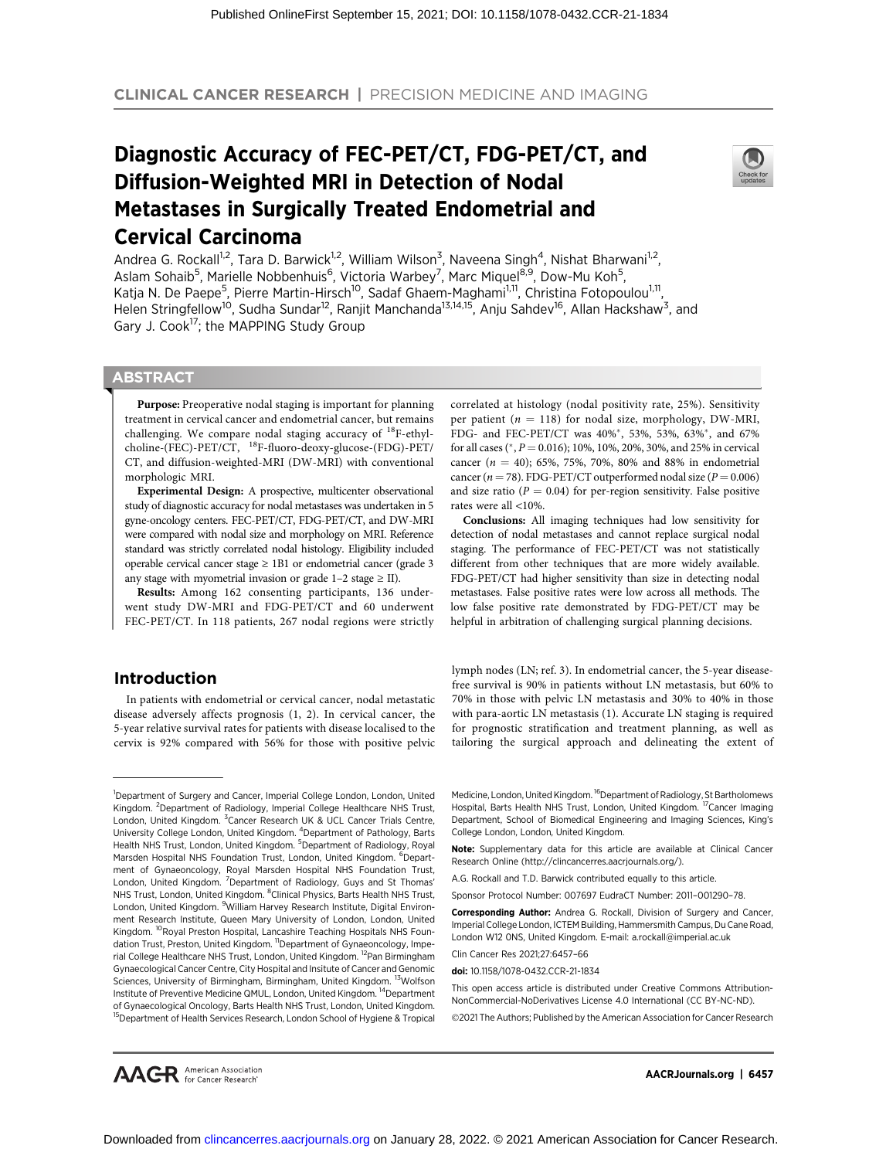## Diagnostic Accuracy of FEC-PET/CT, FDG-PET/CT, and Diffusion-Weighted MRI in Detection of Nodal Metastases in Surgically Treated Endometrial and Cervical Carcinoma



Andrea G. Rockall<sup>1,2</sup>, Tara D. Barwick<sup>1,2</sup>, William Wilson<sup>3</sup>, Naveena Singh<sup>4</sup>, Nishat Bharwani<sup>1,2</sup>, Aslam Sohaib<sup>5</sup>, Marielle Nobbenhuis<sup>6</sup>, Victoria Warbey<sup>7</sup>, Marc Miquel<sup>8,9</sup>, Dow-Mu Koh<sup>5</sup>, Katja N. De Paepe<sup>5</sup>, Pierre Martin-Hirsch<sup>10</sup>, Sadaf Ghaem-Maghami<sup>1,11</sup>, Christina Fotopoulou<sup>1,11</sup>, Helen Stringfellow<sup>10</sup>, Sudha Sundar<sup>12</sup>, Ranjit Manchanda<sup>13,14,15</sup>, Anju Sahdev<sup>16</sup>, Allan Hackshaw<sup>3</sup>, and Gary J. Cook<sup>17</sup>; the MAPPING Study Group

## **ABSTRACT**

◥

Purpose: Preoperative nodal staging is important for planning treatment in cervical cancer and endometrial cancer, but remains challenging. We compare nodal staging accuracy of  $^{18}$ F-ethylcholine-(FEC)-PET/CT, 18F-fluoro-deoxy-glucose-(FDG)-PET/ CT, and diffusion-weighted-MRI (DW-MRI) with conventional morphologic MRI.

Experimental Design: A prospective, multicenter observational study of diagnostic accuracy for nodal metastases was undertaken in 5 gyne-oncology centers. FEC-PET/CT, FDG-PET/CT, and DW-MRI were compared with nodal size and morphology on MRI. Reference standard was strictly correlated nodal histology. Eligibility included operable cervical cancer stage  $\geq$  1B1 or endometrial cancer (grade 3 any stage with myometrial invasion or grade  $1-2$  stage  $\geq$  II).

Results: Among 162 consenting participants, 136 underwent study DW-MRI and FDG-PET/CT and 60 underwent FEC-PET/CT. In 118 patients, 267 nodal regions were strictly

## Introduction

In patients with endometrial or cervical cancer, nodal metastatic disease adversely affects prognosis (1, 2). In cervical cancer, the 5-year relative survival rates for patients with disease localised to the cervix is 92% compared with 56% for those with positive pelvic

correlated at histology (nodal positivity rate, 25%). Sensitivity per patient ( $n = 118$ ) for nodal size, morphology, DW-MRI, FDG- and FEC-PET/CT was 40%-, 53%, 53%, 63%-, and 67% for all cases (\*,  $P = 0.016$ ); 10%, 10%, 20%, 30%, and 25% in cervical cancer ( $n = 40$ ); 65%, 75%, 70%, 80% and 88% in endometrial cancer ( $n = 78$ ). FDG-PET/CT outperformed nodal size ( $P = 0.006$ ) and size ratio ( $P = 0.04$ ) for per-region sensitivity. False positive rates were all <10%.

Conclusions: All imaging techniques had low sensitivity for detection of nodal metastases and cannot replace surgical nodal staging. The performance of FEC-PET/CT was not statistically different from other techniques that are more widely available. FDG-PET/CT had higher sensitivity than size in detecting nodal metastases. False positive rates were low across all methods. The low false positive rate demonstrated by FDG-PET/CT may be helpful in arbitration of challenging surgical planning decisions.

lymph nodes (LN; ref. 3). In endometrial cancer, the 5-year diseasefree survival is 90% in patients without LN metastasis, but 60% to 70% in those with pelvic LN metastasis and 30% to 40% in those with para-aortic LN metastasis (1). Accurate LN staging is required for prognostic stratification and treatment planning, as well as tailoring the surgical approach and delineating the extent of

Medicine, London, United Kingdom. <sup>16</sup>Department of Radiology, St Bartholomews Hospital, Barts Health NHS Trust, London, United Kingdom. 17Cancer Imaging Department, School of Biomedical Engineering and Imaging Sciences, King's College London, London, United Kingdom.

Note: Supplementary data for this article are available at Clinical Cancer Research Online (http://clincancerres.aacrjournals.org/).

A.G. Rockall and T.D. Barwick contributed equally to this article.

Sponsor Protocol Number: 007697 EudraCT Number: 2011–001290–78.

Corresponding Author: Andrea G. Rockall, Division of Surgery and Cancer, Imperial College London, ICTEM Building, Hammersmith Campus, Du Cane Road, London W12 0NS, United Kingdom. E-mail: a.rockall@imperial.ac.uk

Clin Cancer Res 2021;27:6457–66

doi: 10.1158/1078-0432.CCR-21-1834

This open access article is distributed under Creative Commons Attribution-NonCommercial-NoDerivatives License 4.0 International (CC BY-NC-ND).

©2021 The Authors; Published by the American Association for Cancer Research



AACRJournals.org | 6457

<sup>&</sup>lt;sup>1</sup>Department of Surgery and Cancer, Imperial College London, London, United Kingdom. <sup>2</sup>Department of Radiology, Imperial College Healthcare NHS Trust, London, United Kingdom. <sup>3</sup>Cancer Research UK & UCL Cancer Trials Centre, University College London, United Kingdom. <sup>4</sup>Department of Pathology, Barts Health NHS Trust, London, United Kingdom. <sup>5</sup>Department of Radiology, Royal Marsden Hospital NHS Foundation Trust, London, United Kingdom. <sup>6</sup>Department of Gynaeoncology, Royal Marsden Hospital NHS Foundation Trust, London, United Kingdom. <sup>7</sup>Department of Radiology, Guys and St Thomas' NHS Trust, London, United Kingdom. <sup>8</sup>Clinical Physics, Barts Health NHS Trust, London, United Kingdom. <sup>9</sup>William Harvey Research Institute, Digital Environment Research Institute, Queen Mary University of London, London, United Kingdom. <sup>10</sup>Royal Preston Hospital, Lancashire Teaching Hospitals NHS Foundation Trust, Preston, United Kingdom. "Department of Gynaeoncology, Imperial College Healthcare NHS Trust, London, United Kingdom. <sup>12</sup>Pan Birmingham Gynaecological Cancer Centre, City Hospital and Insitute of Cancer and Genomic Sciences, University of Birmingham, Birmingham, United Kingdom. <sup>13</sup>Wolfson Institute of Preventive Medicine QMUL, London, United Kingdom. 14Department of Gynaecological Oncology, Barts Health NHS Trust, London, United Kingdom. <sup>15</sup>Department of Health Services Research, London School of Hygiene & Tropical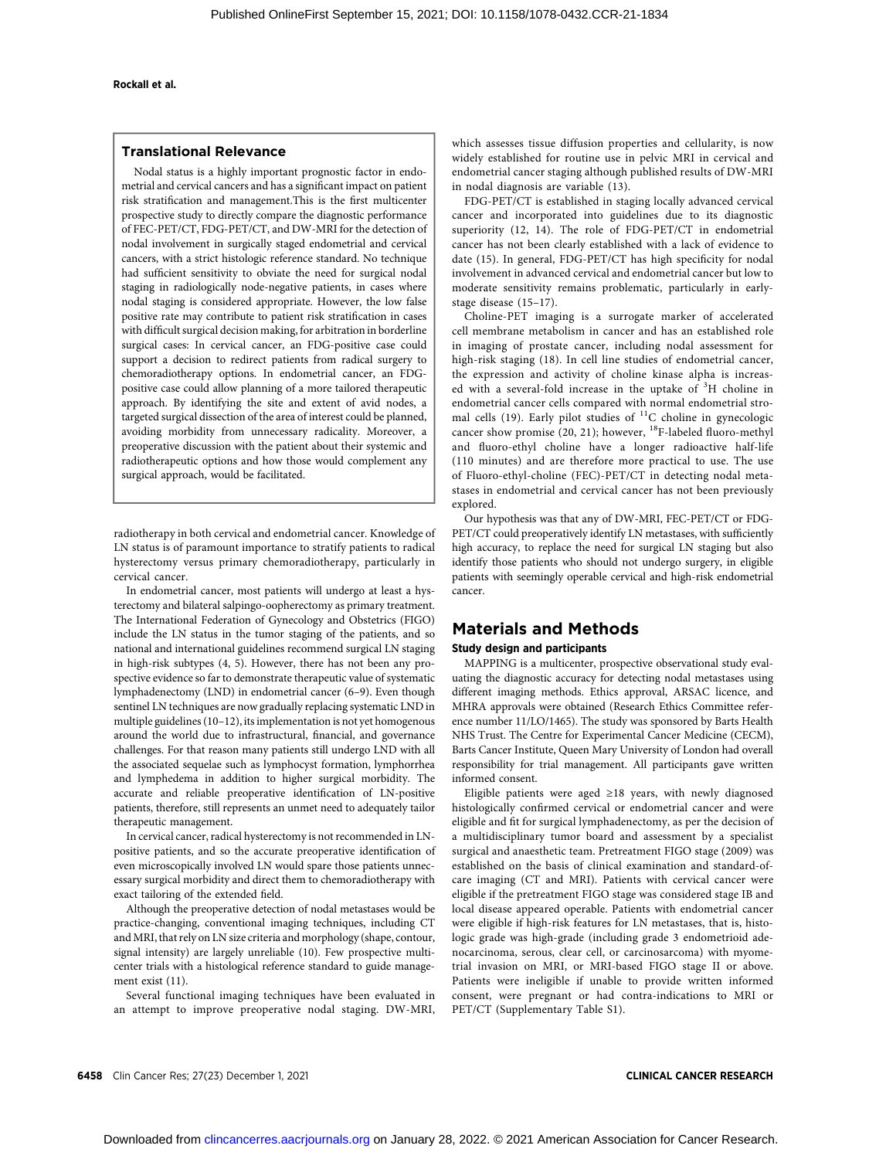## Translational Relevance

Nodal status is a highly important prognostic factor in endometrial and cervical cancers and has a significant impact on patient risk stratification and management.This is the first multicenter prospective study to directly compare the diagnostic performance of FEC-PET/CT, FDG-PET/CT, and DW-MRI for the detection of nodal involvement in surgically staged endometrial and cervical cancers, with a strict histologic reference standard. No technique had sufficient sensitivity to obviate the need for surgical nodal staging in radiologically node-negative patients, in cases where nodal staging is considered appropriate. However, the low false positive rate may contribute to patient risk stratification in cases with difficult surgical decision making, for arbitration in borderline surgical cases: In cervical cancer, an FDG-positive case could support a decision to redirect patients from radical surgery to chemoradiotherapy options. In endometrial cancer, an FDGpositive case could allow planning of a more tailored therapeutic approach. By identifying the site and extent of avid nodes, a targeted surgical dissection of the area of interest could be planned, avoiding morbidity from unnecessary radicality. Moreover, a preoperative discussion with the patient about their systemic and radiotherapeutic options and how those would complement any surgical approach, would be facilitated.

radiotherapy in both cervical and endometrial cancer. Knowledge of LN status is of paramount importance to stratify patients to radical hysterectomy versus primary chemoradiotherapy, particularly in cervical cancer.

In endometrial cancer, most patients will undergo at least a hysterectomy and bilateral salpingo-oopherectomy as primary treatment. The International Federation of Gynecology and Obstetrics (FIGO) include the LN status in the tumor staging of the patients, and so national and international guidelines recommend surgical LN staging in high-risk subtypes (4, 5). However, there has not been any prospective evidence so far to demonstrate therapeutic value of systematic lymphadenectomy (LND) in endometrial cancer (6–9). Even though sentinel LN techniques are now gradually replacing systematic LND in multiple guidelines (10–12), its implementation is not yet homogenous around the world due to infrastructural, financial, and governance challenges. For that reason many patients still undergo LND with all the associated sequelae such as lymphocyst formation, lymphorrhea and lymphedema in addition to higher surgical morbidity. The accurate and reliable preoperative identification of LN-positive patients, therefore, still represents an unmet need to adequately tailor therapeutic management.

In cervical cancer, radical hysterectomy is not recommended in LNpositive patients, and so the accurate preoperative identification of even microscopically involved LN would spare those patients unnecessary surgical morbidity and direct them to chemoradiotherapy with exact tailoring of the extended field.

Although the preoperative detection of nodal metastases would be practice-changing, conventional imaging techniques, including CT and MRI, that rely on LN size criteria and morphology (shape, contour, signal intensity) are largely unreliable (10). Few prospective multicenter trials with a histological reference standard to guide management exist (11).

Several functional imaging techniques have been evaluated in an attempt to improve preoperative nodal staging. DW-MRI, which assesses tissue diffusion properties and cellularity, is now widely established for routine use in pelvic MRI in cervical and endometrial cancer staging although published results of DW-MRI in nodal diagnosis are variable (13).

FDG-PET/CT is established in staging locally advanced cervical cancer and incorporated into guidelines due to its diagnostic superiority (12, 14). The role of FDG-PET/CT in endometrial cancer has not been clearly established with a lack of evidence to date (15). In general, FDG-PET/CT has high specificity for nodal involvement in advanced cervical and endometrial cancer but low to moderate sensitivity remains problematic, particularly in earlystage disease (15–17).

Choline-PET imaging is a surrogate marker of accelerated cell membrane metabolism in cancer and has an established role in imaging of prostate cancer, including nodal assessment for high-risk staging (18). In cell line studies of endometrial cancer, the expression and activity of choline kinase alpha is increased with a several-fold increase in the uptake of <sup>3</sup>H choline in endometrial cancer cells compared with normal endometrial stromal cells (19). Early pilot studies of  $^{11}$ C choline in gynecologic cancer show promise (20, 21); however, <sup>18</sup>F-labeled fluoro-methyl and fluoro-ethyl choline have a longer radioactive half-life (110 minutes) and are therefore more practical to use. The use of Fluoro-ethyl-choline (FEC)-PET/CT in detecting nodal metastases in endometrial and cervical cancer has not been previously explored.

Our hypothesis was that any of DW-MRI, FEC-PET/CT or FDG-PET/CT could preoperatively identify LN metastases, with sufficiently high accuracy, to replace the need for surgical LN staging but also identify those patients who should not undergo surgery, in eligible patients with seemingly operable cervical and high-risk endometrial cancer.

## Materials and Methods

## Study design and participants

MAPPING is a multicenter, prospective observational study evaluating the diagnostic accuracy for detecting nodal metastases using different imaging methods. Ethics approval, ARSAC licence, and MHRA approvals were obtained (Research Ethics Committee reference number 11/LO/1465). The study was sponsored by Barts Health NHS Trust. The Centre for Experimental Cancer Medicine (CECM), Barts Cancer Institute, Queen Mary University of London had overall responsibility for trial management. All participants gave written informed consent.

Eligible patients were aged ≥18 years, with newly diagnosed histologically confirmed cervical or endometrial cancer and were eligible and fit for surgical lymphadenectomy, as per the decision of a multidisciplinary tumor board and assessment by a specialist surgical and anaesthetic team. Pretreatment FIGO stage (2009) was established on the basis of clinical examination and standard-ofcare imaging (CT and MRI). Patients with cervical cancer were eligible if the pretreatment FIGO stage was considered stage IB and local disease appeared operable. Patients with endometrial cancer were eligible if high-risk features for LN metastases, that is, histologic grade was high-grade (including grade 3 endometrioid adenocarcinoma, serous, clear cell, or carcinosarcoma) with myometrial invasion on MRI, or MRI-based FIGO stage II or above. Patients were ineligible if unable to provide written informed consent, were pregnant or had contra-indications to MRI or PET/CT (Supplementary Table S1).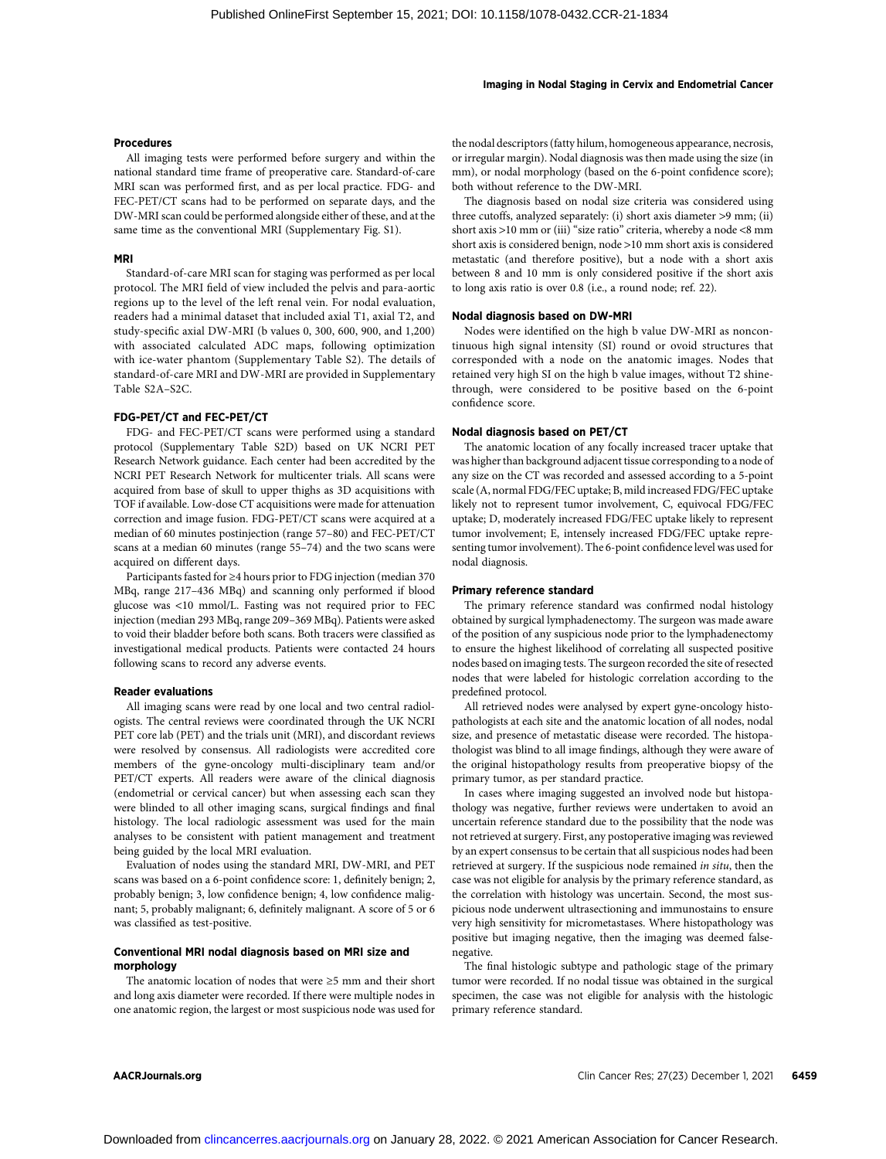## Procedures

All imaging tests were performed before surgery and within the national standard time frame of preoperative care. Standard-of-care MRI scan was performed first, and as per local practice. FDG- and FEC-PET/CT scans had to be performed on separate days, and the DW-MRI scan could be performed alongside either of these, and at the same time as the conventional MRI (Supplementary Fig. S1).

## MRI

Standard-of-care MRI scan for staging was performed as per local protocol. The MRI field of view included the pelvis and para-aortic regions up to the level of the left renal vein. For nodal evaluation, readers had a minimal dataset that included axial T1, axial T2, and study-specific axial DW-MRI (b values 0, 300, 600, 900, and 1,200) with associated calculated ADC maps, following optimization with ice-water phantom (Supplementary Table S2). The details of standard-of-care MRI and DW-MRI are provided in Supplementary Table S2A–S2C.

## FDG-PET/CT and FEC-PET/CT

FDG- and FEC-PET/CT scans were performed using a standard protocol (Supplementary Table S2D) based on UK NCRI PET Research Network guidance. Each center had been accredited by the NCRI PET Research Network for multicenter trials. All scans were acquired from base of skull to upper thighs as 3D acquisitions with TOF if available. Low-dose CT acquisitions were made for attenuation correction and image fusion. FDG-PET/CT scans were acquired at a median of 60 minutes postinjection (range 57–80) and FEC-PET/CT scans at a median 60 minutes (range 55–74) and the two scans were acquired on different days.

Participants fasted for ≥4 hours prior to FDG injection (median 370 MBq, range 217–436 MBq) and scanning only performed if blood glucose was <10 mmol/L. Fasting was not required prior to FEC injection (median 293 MBq, range 209–369 MBq). Patients were asked to void their bladder before both scans. Both tracers were classified as investigational medical products. Patients were contacted 24 hours following scans to record any adverse events.

## Reader evaluations

All imaging scans were read by one local and two central radiologists. The central reviews were coordinated through the UK NCRI PET core lab (PET) and the trials unit (MRI), and discordant reviews were resolved by consensus. All radiologists were accredited core members of the gyne-oncology multi-disciplinary team and/or PET/CT experts. All readers were aware of the clinical diagnosis (endometrial or cervical cancer) but when assessing each scan they were blinded to all other imaging scans, surgical findings and final histology. The local radiologic assessment was used for the main analyses to be consistent with patient management and treatment being guided by the local MRI evaluation.

Evaluation of nodes using the standard MRI, DW-MRI, and PET scans was based on a 6-point confidence score: 1, definitely benign; 2, probably benign; 3, low confidence benign; 4, low confidence malignant; 5, probably malignant; 6, definitely malignant. A score of 5 or 6 was classified as test-positive.

## Conventional MRI nodal diagnosis based on MRI size and morphology

The anatomic location of nodes that were ≥5 mm and their short and long axis diameter were recorded. If there were multiple nodes in one anatomic region, the largest or most suspicious node was used for the nodal descriptors (fatty hilum, homogeneous appearance, necrosis, or irregular margin). Nodal diagnosis was then made using the size (in mm), or nodal morphology (based on the 6-point confidence score); both without reference to the DW-MRI.

The diagnosis based on nodal size criteria was considered using three cutoffs, analyzed separately: (i) short axis diameter >9 mm; (ii) short axis >10 mm or (iii) "size ratio" criteria, whereby a node <8 mm short axis is considered benign, node >10 mm short axis is considered metastatic (and therefore positive), but a node with a short axis between 8 and 10 mm is only considered positive if the short axis to long axis ratio is over 0.8 (i.e., a round node; ref. 22).

## Nodal diagnosis based on DW-MRI

Nodes were identified on the high b value DW-MRI as noncontinuous high signal intensity (SI) round or ovoid structures that corresponded with a node on the anatomic images. Nodes that retained very high SI on the high b value images, without T2 shinethrough, were considered to be positive based on the 6-point confidence score.

## Nodal diagnosis based on PET/CT

The anatomic location of any focally increased tracer uptake that was higher than background adjacent tissue corresponding to a node of any size on the CT was recorded and assessed according to a 5-point scale (A, normal FDG/FEC uptake; B, mild increased FDG/FEC uptake likely not to represent tumor involvement, C, equivocal FDG/FEC uptake; D, moderately increased FDG/FEC uptake likely to represent tumor involvement; E, intensely increased FDG/FEC uptake representing tumor involvement). The 6-point confidence level was used for nodal diagnosis.

## Primary reference standard

The primary reference standard was confirmed nodal histology obtained by surgical lymphadenectomy. The surgeon was made aware of the position of any suspicious node prior to the lymphadenectomy to ensure the highest likelihood of correlating all suspected positive nodes based on imaging tests. The surgeon recorded the site of resected nodes that were labeled for histologic correlation according to the predefined protocol.

All retrieved nodes were analysed by expert gyne-oncology histopathologists at each site and the anatomic location of all nodes, nodal size, and presence of metastatic disease were recorded. The histopathologist was blind to all image findings, although they were aware of the original histopathology results from preoperative biopsy of the primary tumor, as per standard practice.

In cases where imaging suggested an involved node but histopathology was negative, further reviews were undertaken to avoid an uncertain reference standard due to the possibility that the node was not retrieved at surgery. First, any postoperative imaging was reviewed by an expert consensus to be certain that all suspicious nodes had been retrieved at surgery. If the suspicious node remained in situ, then the case was not eligible for analysis by the primary reference standard, as the correlation with histology was uncertain. Second, the most suspicious node underwent ultrasectioning and immunostains to ensure very high sensitivity for micrometastases. Where histopathology was positive but imaging negative, then the imaging was deemed falsenegative.

The final histologic subtype and pathologic stage of the primary tumor were recorded. If no nodal tissue was obtained in the surgical specimen, the case was not eligible for analysis with the histologic primary reference standard.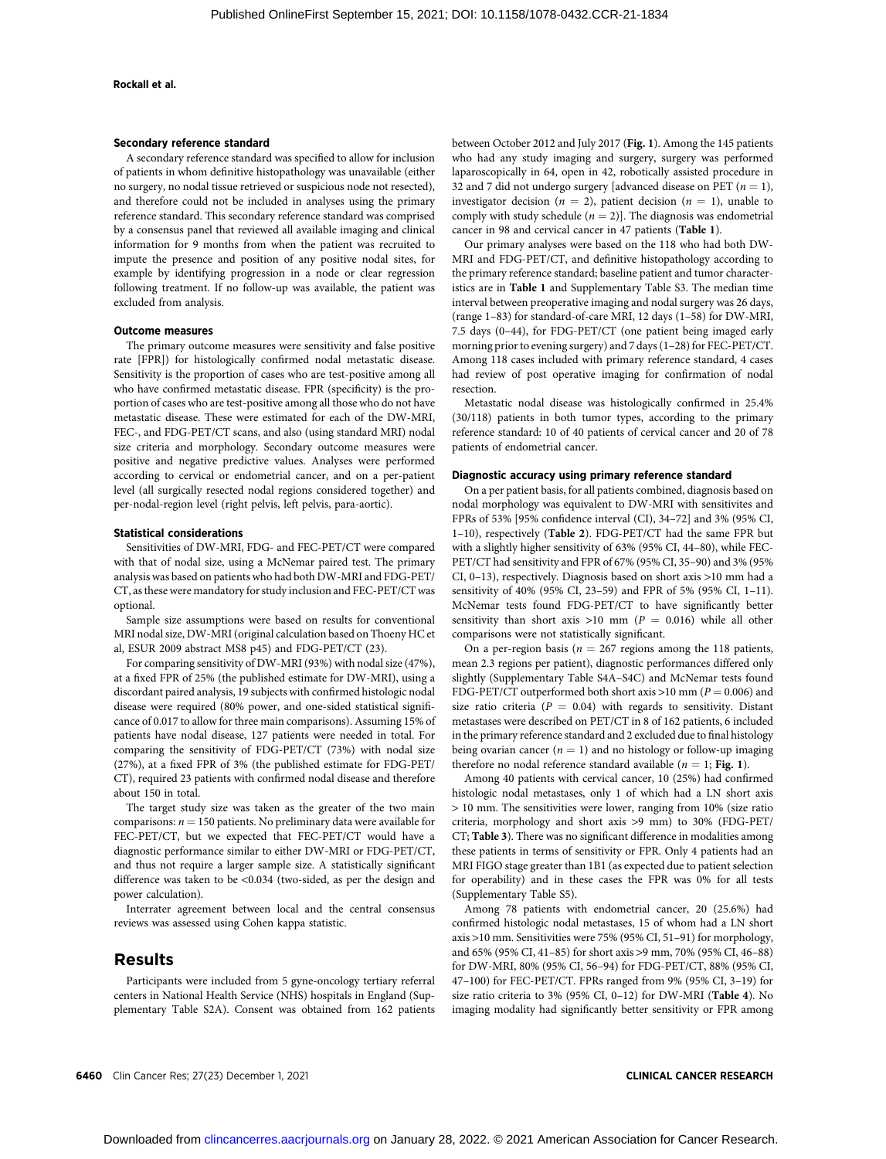## Secondary reference standard

A secondary reference standard was specified to allow for inclusion of patients in whom definitive histopathology was unavailable (either no surgery, no nodal tissue retrieved or suspicious node not resected), and therefore could not be included in analyses using the primary reference standard. This secondary reference standard was comprised by a consensus panel that reviewed all available imaging and clinical information for 9 months from when the patient was recruited to impute the presence and position of any positive nodal sites, for example by identifying progression in a node or clear regression following treatment. If no follow-up was available, the patient was excluded from analysis.

## Outcome measures

The primary outcome measures were sensitivity and false positive rate [FPR]) for histologically confirmed nodal metastatic disease. Sensitivity is the proportion of cases who are test-positive among all who have confirmed metastatic disease. FPR (specificity) is the proportion of cases who are test-positive among all those who do not have metastatic disease. These were estimated for each of the DW-MRI, FEC-, and FDG-PET/CT scans, and also (using standard MRI) nodal size criteria and morphology. Secondary outcome measures were positive and negative predictive values. Analyses were performed according to cervical or endometrial cancer, and on a per-patient level (all surgically resected nodal regions considered together) and per-nodal-region level (right pelvis, left pelvis, para-aortic).

## Statistical considerations

Sensitivities of DW-MRI, FDG- and FEC-PET/CT were compared with that of nodal size, using a McNemar paired test. The primary analysis was based on patients who had both DW-MRI and FDG-PET/ CT, as these were mandatory for study inclusion and FEC-PET/CT was optional.

Sample size assumptions were based on results for conventional MRI nodal size, DW-MRI (original calculation based on Thoeny HC et al, ESUR 2009 abstract MS8 p45) and FDG-PET/CT (23).

For comparing sensitivity of DW-MRI (93%) with nodal size (47%), at a fixed FPR of 25% (the published estimate for DW-MRI), using a discordant paired analysis, 19 subjects with confirmed histologic nodal disease were required (80% power, and one-sided statistical significance of 0.017 to allow for three main comparisons). Assuming 15% of patients have nodal disease, 127 patients were needed in total. For comparing the sensitivity of FDG-PET/CT (73%) with nodal size (27%), at a fixed FPR of 3% (the published estimate for FDG-PET/ CT), required 23 patients with confirmed nodal disease and therefore about 150 in total.

The target study size was taken as the greater of the two main comparisons:  $n = 150$  patients. No preliminary data were available for FEC-PET/CT, but we expected that FEC-PET/CT would have a diagnostic performance similar to either DW-MRI or FDG-PET/CT, and thus not require a larger sample size. A statistically significant difference was taken to be <0.034 (two-sided, as per the design and power calculation).

Interrater agreement between local and the central consensus reviews was assessed using Cohen kappa statistic.

## Results

Participants were included from 5 gyne-oncology tertiary referral centers in National Health Service (NHS) hospitals in England (Supplementary Table S2A). Consent was obtained from 162 patients between October 2012 and July 2017 (Fig. 1). Among the 145 patients who had any study imaging and surgery, surgery was performed laparoscopically in 64, open in 42, robotically assisted procedure in 32 and 7 did not undergo surgery [advanced disease on PET  $(n = 1)$ , investigator decision ( $n = 2$ ), patient decision ( $n = 1$ ), unable to comply with study schedule  $(n = 2)$ ]. The diagnosis was endometrial cancer in 98 and cervical cancer in 47 patients (Table 1).

Our primary analyses were based on the 118 who had both DW-MRI and FDG-PET/CT, and definitive histopathology according to the primary reference standard; baseline patient and tumor characteristics are in Table 1 and Supplementary Table S3. The median time interval between preoperative imaging and nodal surgery was 26 days, (range 1–83) for standard-of-care MRI, 12 days (1–58) for DW-MRI, 7.5 days (0–44), for FDG-PET/CT (one patient being imaged early morning prior to evening surgery) and 7 days (1–28) for FEC-PET/CT. Among 118 cases included with primary reference standard, 4 cases had review of post operative imaging for confirmation of nodal resection.

Metastatic nodal disease was histologically confirmed in 25.4% (30/118) patients in both tumor types, according to the primary reference standard: 10 of 40 patients of cervical cancer and 20 of 78 patients of endometrial cancer.

## Diagnostic accuracy using primary reference standard

On a per patient basis, for all patients combined, diagnosis based on nodal morphology was equivalent to DW-MRI with sensitivites and FPRs of 53% [95% confidence interval (CI), 34–72] and 3% (95% CI, 1–10), respectively (Table 2). FDG-PET/CT had the same FPR but with a slightly higher sensitivity of 63% (95% CI, 44–80), while FEC-PET/CT had sensitivity and FPR of 67% (95% CI, 35–90) and 3% (95% CI, 0–13), respectively. Diagnosis based on short axis >10 mm had a sensitivity of 40% (95% CI, 23–59) and FPR of 5% (95% CI, 1–11). McNemar tests found FDG-PET/CT to have significantly better sensitivity than short axis >10 mm ( $P = 0.016$ ) while all other comparisons were not statistically significant.

On a per-region basis ( $n = 267$  regions among the 118 patients, mean 2.3 regions per patient), diagnostic performances differed only slightly (Supplementary Table S4A–S4C) and McNemar tests found FDG-PET/CT outperformed both short axis >10 mm ( $P = 0.006$ ) and size ratio criteria ( $P = 0.04$ ) with regards to sensitivity. Distant metastases were described on PET/CT in 8 of 162 patients, 6 included in the primary reference standard and 2 excluded due to final histology being ovarian cancer  $(n = 1)$  and no histology or follow-up imaging therefore no nodal reference standard available ( $n = 1$ ; Fig. 1).

Among 40 patients with cervical cancer, 10 (25%) had confirmed histologic nodal metastases, only 1 of which had a LN short axis > 10 mm. The sensitivities were lower, ranging from 10% (size ratio criteria, morphology and short axis >9 mm) to 30% (FDG-PET/ CT; Table 3). There was no significant difference in modalities among these patients in terms of sensitivity or FPR. Only 4 patients had an MRI FIGO stage greater than 1B1 (as expected due to patient selection for operability) and in these cases the FPR was 0% for all tests (Supplementary Table S5).

Among 78 patients with endometrial cancer, 20 (25.6%) had confirmed histologic nodal metastases, 15 of whom had a LN short axis >10 mm. Sensitivities were 75% (95% CI, 51–91) for morphology, and 65% (95% CI, 41–85) for short axis >9 mm, 70% (95% CI, 46–88) for DW-MRI, 80% (95% CI, 56–94) for FDG-PET/CT, 88% (95% CI, 47–100) for FEC-PET/CT. FPRs ranged from 9% (95% CI, 3–19) for size ratio criteria to 3% (95% CI, 0–12) for DW-MRI (Table 4). No imaging modality had significantly better sensitivity or FPR among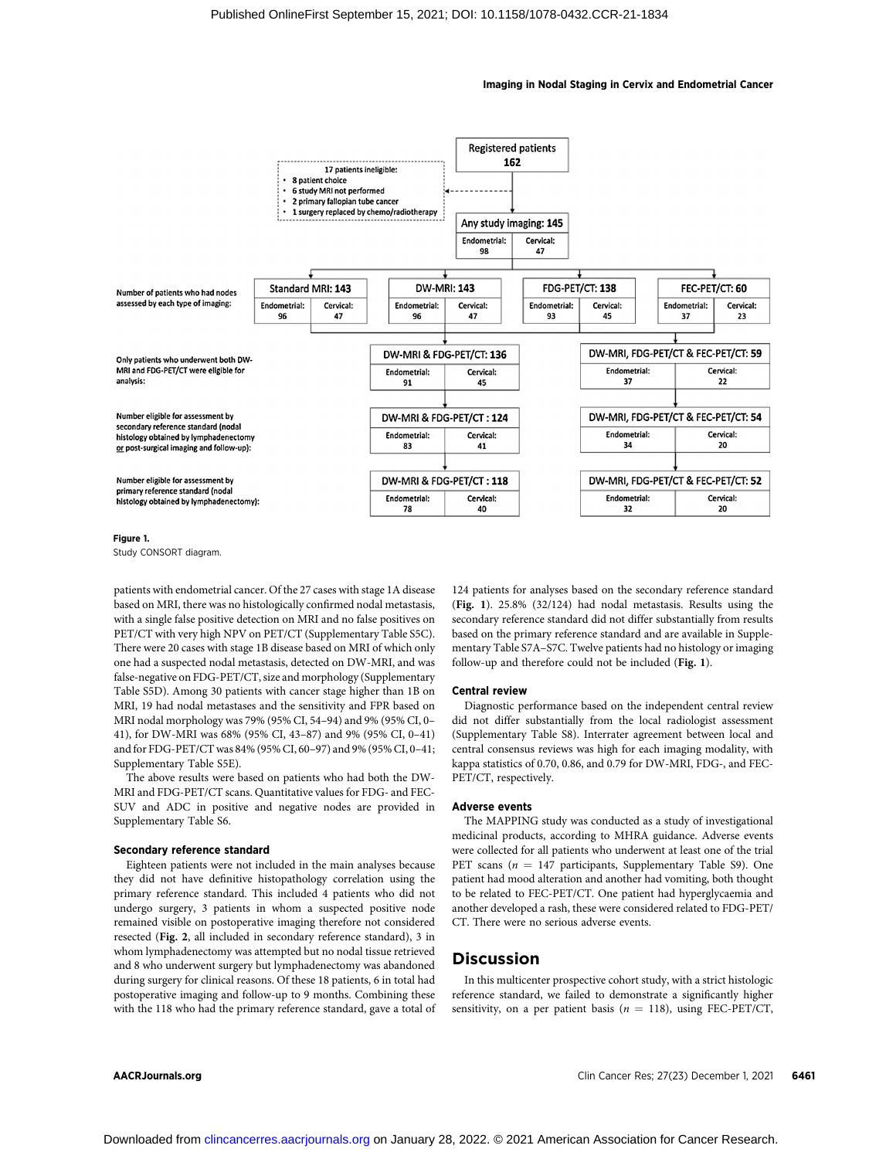

### Figure 1.

Study CONSORT diagram.

patients with endometrial cancer. Of the 27 cases with stage 1A disease based on MRI, there was no histologically confirmed nodal metastasis, with a single false positive detection on MRI and no false positives on PET/CT with very high NPV on PET/CT (Supplementary Table S5C). There were 20 cases with stage 1B disease based on MRI of which only one had a suspected nodal metastasis, detected on DW-MRI, and was false-negative on FDG-PET/CT, size and morphology (Supplementary Table S5D). Among 30 patients with cancer stage higher than 1B on MRI, 19 had nodal metastases and the sensitivity and FPR based on MRI nodal morphology was 79% (95% CI, 54–94) and 9% (95% CI, 0– 41), for DW-MRI was 68% (95% CI, 43–87) and 9% (95% CI, 0–41) and for FDG-PET/CT was 84% (95% CI, 60–97) and 9% (95% CI, 0–41; Supplementary Table S5E).

The above results were based on patients who had both the DW-MRI and FDG-PET/CT scans. Quantitative values for FDG- and FEC-SUV and ADC in positive and negative nodes are provided in Supplementary Table S6.

## Secondary reference standard

Eighteen patients were not included in the main analyses because they did not have definitive histopathology correlation using the primary reference standard. This included 4 patients who did not undergo surgery, 3 patients in whom a suspected positive node remained visible on postoperative imaging therefore not considered resected (Fig. 2, all included in secondary reference standard), 3 in whom lymphadenectomy was attempted but no nodal tissue retrieved and 8 who underwent surgery but lymphadenectomy was abandoned during surgery for clinical reasons. Of these 18 patients, 6 in total had postoperative imaging and follow-up to 9 months. Combining these with the 118 who had the primary reference standard, gave a total of 124 patients for analyses based on the secondary reference standard (Fig. 1). 25.8% (32/124) had nodal metastasis. Results using the secondary reference standard did not differ substantially from results based on the primary reference standard and are available in Supplementary Table S7A–S7C. Twelve patients had no histology or imaging follow-up and therefore could not be included (Fig. 1).

## Central review

Diagnostic performance based on the independent central review did not differ substantially from the local radiologist assessment (Supplementary Table S8). Interrater agreement between local and central consensus reviews was high for each imaging modality, with kappa statistics of 0.70, 0.86, and 0.79 for DW-MRI, FDG-, and FEC-PET/CT, respectively.

## Adverse events

The MAPPING study was conducted as a study of investigational medicinal products, according to MHRA guidance. Adverse events were collected for all patients who underwent at least one of the trial PET scans ( $n = 147$  participants, Supplementary Table S9). One patient had mood alteration and another had vomiting, both thought to be related to FEC-PET/CT. One patient had hyperglycaemia and another developed a rash, these were considered related to FDG-PET/ CT. There were no serious adverse events.

## **Discussion**

In this multicenter prospective cohort study, with a strict histologic reference standard, we failed to demonstrate a significantly higher sensitivity, on a per patient basis ( $n = 118$ ), using FEC-PET/CT,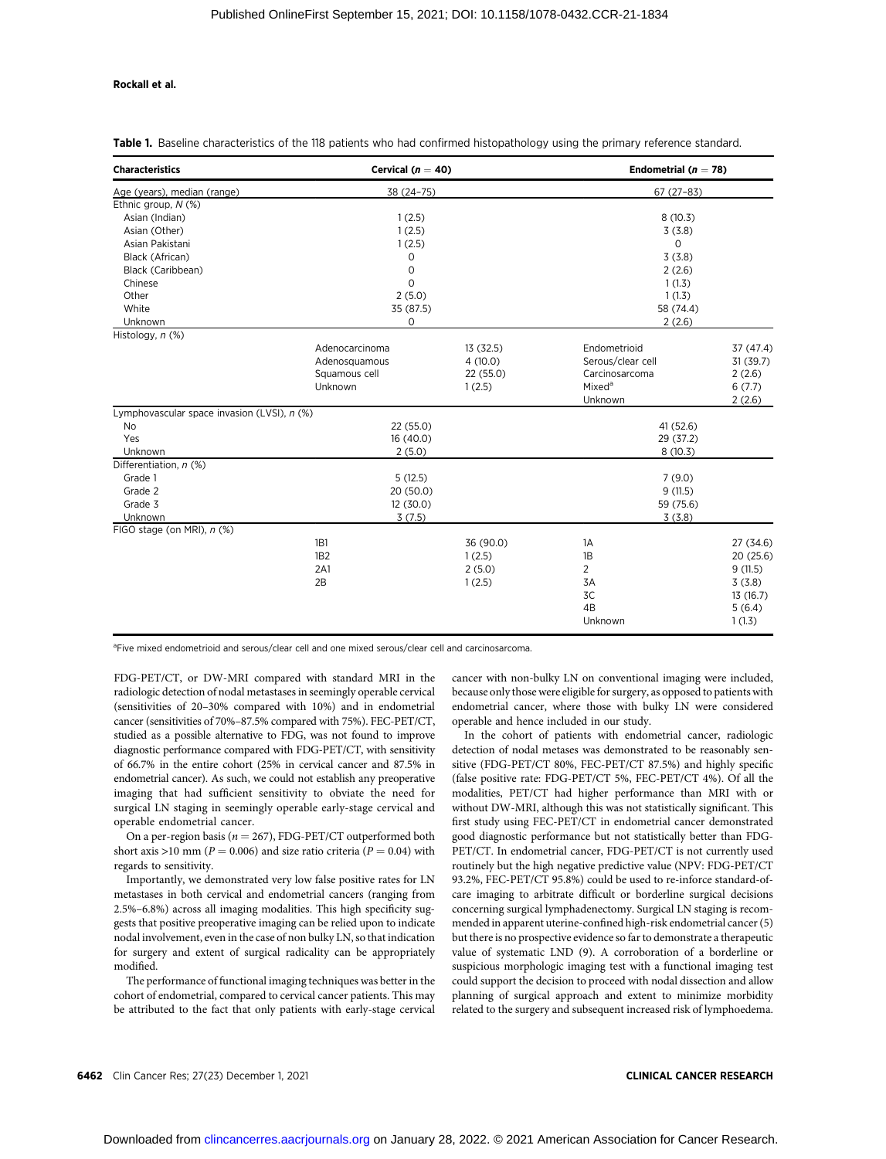Table 1. Baseline characteristics of the 118 patients who had confirmed histopathology using the primary reference standard.

| <b>Characteristics</b>                      | Cervical ( $n = 40$ ) |           | Endometrial ( $n = 78$ ) |           |  |
|---------------------------------------------|-----------------------|-----------|--------------------------|-----------|--|
| Age (years), median (range)                 | 38 (24-75)            |           | $67(27-83)$              |           |  |
| Ethnic group, N (%)                         |                       |           |                          |           |  |
| Asian (Indian)                              | 1(2.5)                |           | 8(10.3)                  |           |  |
| Asian (Other)                               | 1(2.5)                |           | 3(3.8)                   |           |  |
| Asian Pakistani                             | 1(2.5)                |           | 0                        |           |  |
| Black (African)                             | 0                     |           | 3(3.8)                   |           |  |
| Black (Caribbean)                           | 0                     |           | 2(2.6)                   |           |  |
| Chinese                                     | $\mathbf 0$           |           | 1(1.3)                   |           |  |
| Other                                       | 2(5.0)                |           | 1(1.3)                   |           |  |
| White                                       | 35 (87.5)             |           | 58 (74.4)                |           |  |
| Unknown                                     | 0                     |           | 2(2.6)                   |           |  |
| Histology, n (%)                            |                       |           |                          |           |  |
|                                             | Adenocarcinoma        | 13(32.5)  | Endometrioid             | 37 (47.4) |  |
|                                             | Adenosquamous         | 4(10.0)   | Serous/clear cell        | 31(39.7)  |  |
|                                             | Squamous cell         | 22 (55.0) | Carcinosarcoma           | 2(2.6)    |  |
|                                             | Unknown               | 1(2.5)    | Mixed <sup>a</sup>       | 6(7.7)    |  |
|                                             |                       |           | Unknown                  | 2(2.6)    |  |
| Lymphovascular space invasion (LVSI), n (%) |                       |           |                          |           |  |
| <b>No</b>                                   | 22 (55.0)             |           | 41(52.6)                 |           |  |
| Yes                                         | 16 (40.0)             |           | 29 (37.2)                |           |  |
| Unknown                                     | 2(5.0)                |           | 8(10.3)                  |           |  |
| Differentiation, n (%)                      |                       |           |                          |           |  |
| Grade 1                                     | 5(12.5)               |           | 7(9.0)                   |           |  |
| Grade 2                                     | 20(50.0)              |           | 9(11.5)                  |           |  |
| Grade 3                                     | 12(30.0)              |           | 59 (75.6)                |           |  |
| Unknown                                     | 3(7.5)                |           | 3(3.8)                   |           |  |
| FIGO stage (on MRI), n (%)                  |                       |           |                          |           |  |
|                                             | 1B1                   | 36 (90.0) | 1A                       | 27 (34.6) |  |
|                                             | 1B <sub>2</sub>       | 1(2.5)    | 1B                       | 20(25.6)  |  |
|                                             | 2A1                   | 2(5.0)    | $\overline{c}$           | 9(11.5)   |  |
|                                             | 2B                    | 1(2.5)    | 3A                       | 3(3.8)    |  |
|                                             |                       |           | 3C                       | 13 (16.7) |  |
|                                             |                       |           | 4B                       | 5(6.4)    |  |
|                                             |                       |           | Unknown                  | 1(1.3)    |  |
|                                             |                       |           |                          |           |  |

<sup>a</sup>Five mixed endometrioid and serous/clear cell and one mixed serous/clear cell and carcinosarcoma.

FDG-PET/CT, or DW-MRI compared with standard MRI in the radiologic detection of nodal metastases in seemingly operable cervical (sensitivities of 20–30% compared with 10%) and in endometrial cancer (sensitivities of 70%–87.5% compared with 75%). FEC-PET/CT, studied as a possible alternative to FDG, was not found to improve diagnostic performance compared with FDG-PET/CT, with sensitivity of 66.7% in the entire cohort (25% in cervical cancer and 87.5% in endometrial cancer). As such, we could not establish any preoperative imaging that had sufficient sensitivity to obviate the need for surgical LN staging in seemingly operable early-stage cervical and operable endometrial cancer.

On a per-region basis ( $n = 267$ ), FDG-PET/CT outperformed both short axis >10 mm ( $P = 0.006$ ) and size ratio criteria ( $P = 0.04$ ) with regards to sensitivity.

Importantly, we demonstrated very low false positive rates for LN metastases in both cervical and endometrial cancers (ranging from 2.5%–6.8%) across all imaging modalities. This high specificity suggests that positive preoperative imaging can be relied upon to indicate nodal involvement, even in the case of non bulky LN, so that indication for surgery and extent of surgical radicality can be appropriately modified.

The performance of functional imaging techniques was better in the cohort of endometrial, compared to cervical cancer patients. This may be attributed to the fact that only patients with early-stage cervical cancer with non-bulky LN on conventional imaging were included, because only those were eligible for surgery, as opposed to patients with endometrial cancer, where those with bulky LN were considered operable and hence included in our study.

In the cohort of patients with endometrial cancer, radiologic detection of nodal metases was demonstrated to be reasonably sensitive (FDG-PET/CT 80%, FEC-PET/CT 87.5%) and highly specific (false positive rate: FDG-PET/CT 5%, FEC-PET/CT 4%). Of all the modalities, PET/CT had higher performance than MRI with or without DW-MRI, although this was not statistically significant. This first study using FEC-PET/CT in endometrial cancer demonstrated good diagnostic performance but not statistically better than FDG-PET/CT. In endometrial cancer, FDG-PET/CT is not currently used routinely but the high negative predictive value (NPV: FDG-PET/CT 93.2%, FEC-PET/CT 95.8%) could be used to re-inforce standard-ofcare imaging to arbitrate difficult or borderline surgical decisions concerning surgical lymphadenectomy. Surgical LN staging is recommended in apparent uterine-confined high-risk endometrial cancer (5) but there is no prospective evidence so far to demonstrate a therapeutic value of systematic LND (9). A corroboration of a borderline or suspicious morphologic imaging test with a functional imaging test could support the decision to proceed with nodal dissection and allow planning of surgical approach and extent to minimize morbidity related to the surgery and subsequent increased risk of lymphoedema.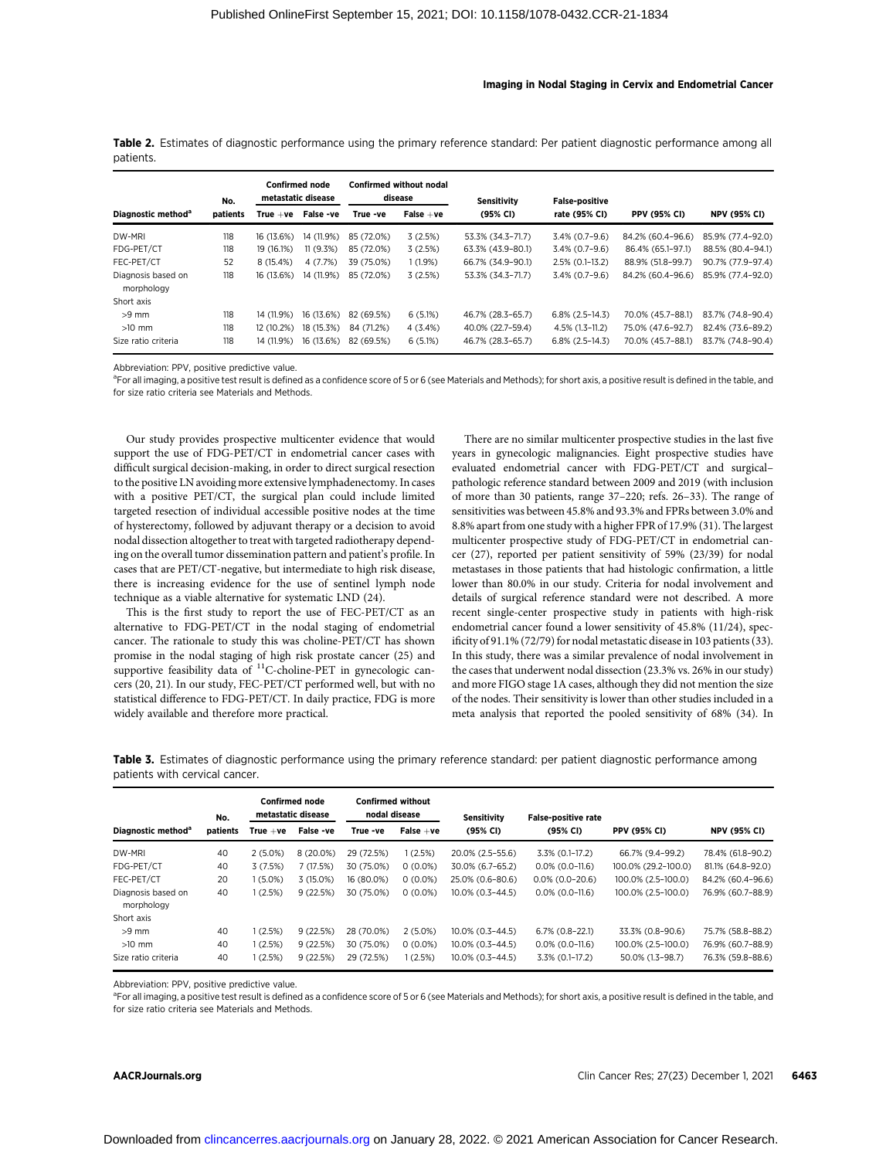| Diagnostic method <sup>a</sup>   | No.      | <b>Confirmed node</b><br>metastatic disease |            | <b>Confirmed without nodal</b><br>disease |             | Sensitivity       | <b>False-positive</b> |                     |                     |
|----------------------------------|----------|---------------------------------------------|------------|-------------------------------------------|-------------|-------------------|-----------------------|---------------------|---------------------|
|                                  | patients | True $+$ ve                                 | False -ve  | True -ve                                  | $False +ve$ | (95% CI)          | rate (95% CI)         | <b>PPV (95% CI)</b> | <b>NPV (95% CI)</b> |
| DW-MRI                           | 118      | 16 (13.6%)                                  | 14 (11.9%) | 85 (72.0%)                                | 3(2.5%)     | 53.3% (34.3–71.7) | $3.4\%$ (0.7-9.6)     | 84.2% (60.4-96.6)   | 85.9% (77.4-92.0)   |
| FDG-PET/CT                       | 118      | 19 (16.1%)                                  | 11(9.3%)   | 85 (72.0%)                                | 3(2.5%)     | 63.3% (43.9-80.1) | $3.4\%$ (0.7-9.6)     | 86.4% (65.1-97.1)   | 88.5% (80.4-94.1)   |
| FEC-PET/CT                       | 52       | 8 (15.4%)                                   | 4(7.7%)    | 39 (75.0%)                                | 1(1.9%)     | 66.7% (34.9-90.1) | $2.5\%$ (0.1-13.2)    | 88.9% (51.8-99.7)   | 90.7% (77.9-97.4)   |
| Diagnosis based on<br>morphology | 118      | 16 (13.6%)                                  | 14 (11.9%) | 85 (72.0%)                                | 3(2.5%)     | 53.3% (34.3-71.7) | $3.4\%$ (0.7-9.6)     | 84.2% (60.4-96.6)   | 85.9% (77.4-92.0)   |
| Short axis                       |          |                                             |            |                                           |             |                   |                       |                     |                     |
| $>9$ mm                          | 118      | 14 (11.9%)                                  | 16 (13.6%) | 82 (69.5%)                                | 6(5.1%)     | 46.7% (28.3-65.7) | $6.8\%$ (2.5-14.3)    | 70.0% (45.7-88.1)   | 83.7% (74.8-90.4)   |
| $>10$ mm                         | 118      | 12 (10.2%)                                  | 18 (15.3%) | 84 (71.2%)                                | 4(3.4%)     | 40.0% (22.7-59.4) | $4.5\%$ (1.3-11.2)    | 75.0% (47.6-92.7)   | 82.4% (73.6-89.2)   |
| Size ratio criteria              | 118      | 14 (11.9%)                                  | 16 (13.6%) | 82 (69.5%)                                | 6(5.1%)     | 46.7% (28.3-65.7) | $6.8\%$ $(2.5-14.3)$  | 70.0% (45.7-88.1)   | 83.7% (74.8-90.4)   |

Table 2. Estimates of diagnostic performance using the primary reference standard: Per patient diagnostic performance among all patients.

Abbreviation: PPV, positive predictive value.

<sup>a</sup>For all imaging, a positive test result is defined as a confidence score of 5 or 6 (see Materials and Methods); for short axis, a positive result is defined in the table, and for size ratio criteria see Materials and Methods.

Our study provides prospective multicenter evidence that would support the use of FDG-PET/CT in endometrial cancer cases with difficult surgical decision-making, in order to direct surgical resection to the positive LN avoiding more extensive lymphadenectomy. In cases with a positive PET/CT, the surgical plan could include limited targeted resection of individual accessible positive nodes at the time of hysterectomy, followed by adjuvant therapy or a decision to avoid nodal dissection altogether to treat with targeted radiotherapy depending on the overall tumor dissemination pattern and patient's profile. In cases that are PET/CT-negative, but intermediate to high risk disease, there is increasing evidence for the use of sentinel lymph node technique as a viable alternative for systematic LND (24).

This is the first study to report the use of FEC-PET/CT as an alternative to FDG-PET/CT in the nodal staging of endometrial cancer. The rationale to study this was choline-PET/CT has shown promise in the nodal staging of high risk prostate cancer (25) and supportive feasibility data of  $^{11}$ C-choline-PET in gynecologic cancers (20, 21). In our study, FEC-PET/CT performed well, but with no statistical difference to FDG-PET/CT. In daily practice, FDG is more widely available and therefore more practical.

There are no similar multicenter prospective studies in the last five years in gynecologic malignancies. Eight prospective studies have evaluated endometrial cancer with FDG-PET/CT and surgical– pathologic reference standard between 2009 and 2019 (with inclusion of more than 30 patients, range 37–220; refs. 26–33). The range of sensitivities was between 45.8% and 93.3% and FPRs between 3.0% and 8.8% apart from one study with a higher FPR of 17.9% (31). The largest multicenter prospective study of FDG-PET/CT in endometrial cancer (27), reported per patient sensitivity of 59% (23/39) for nodal metastases in those patients that had histologic confirmation, a little lower than 80.0% in our study. Criteria for nodal involvement and details of surgical reference standard were not described. A more recent single-center prospective study in patients with high-risk endometrial cancer found a lower sensitivity of 45.8% (11/24), specificity of 91.1% (72/79) for nodal metastatic disease in 103 patients (33). In this study, there was a similar prevalence of nodal involvement in the cases that underwent nodal dissection (23.3% vs. 26% in our study) and more FIGO stage 1A cases, although they did not mention the size of the nodes. Their sensitivity is lower than other studies included in a meta analysis that reported the pooled sensitivity of 68% (34). In

Table 3. Estimates of diagnostic performance using the primary reference standard: per patient diagnostic performance among patients with cervical cancer.

| No.<br>Diagnostic method <sup>a</sup> |          | <b>Confirmed node</b><br>metastatic disease |           | <b>Confirmed without</b><br>nodal disease |             | Sensitivity         | <b>False-positive rate</b> |                     |                     |
|---------------------------------------|----------|---------------------------------------------|-----------|-------------------------------------------|-------------|---------------------|----------------------------|---------------------|---------------------|
|                                       | patients | True +ve                                    | False -ve | True -ve                                  | $False +ve$ | (95% CI)            | (95% CI)                   | <b>PPV (95% CI)</b> | <b>NPV (95% CI)</b> |
| DW-MRI                                | 40       | $2(5.0\%)$                                  | 8 (20.0%) | 29 (72.5%)                                | 1(2.5%)     | 20.0% (2.5-55.6)    | 3.3% (0.1-17.2)            | 66.7% (9.4-99.2)    | 78.4% (61.8-90.2)   |
| FDG-PET/CT                            | 40       | 3(7.5%)                                     | 7(17.5%)  | 30 (75.0%)                                | $0(0.0\%)$  | 30.0% (6.7-65.2)    | $0.0\%$ (0.0-11.6)         | 100.0% (29.2-100.0) | 81.1% (64.8-92.0)   |
| FEC-PET/CT                            | 20       | $1(5.0\%)$                                  | 3 (15.0%) | 16 (80.0%)                                | $0(0.0\%)$  | 25.0% (0.6-80.6)    | $0.0\%$ (0.0-20.6)         | 100.0% (2.5-100.0)  | 84.2% (60.4-96.6)   |
| Diagnosis based on<br>morphology      | 40       | 1(2.5%)                                     | 9(22.5%)  | 30 (75.0%)                                | $0(0.0\%)$  | $10.0\%$ (0.3-44.5) | $0.0\%$ (0.0-11.6)         | 100.0% (2.5-100.0)  | 76.9% (60.7-88.9)   |
| Short axis                            |          |                                             |           |                                           |             |                     |                            |                     |                     |
| $>9$ mm                               | 40       | 1(2.5%)                                     | 9(22.5%)  | 28 (70.0%)                                | $2(5.0\%)$  | $10.0\%$ (0.3-44.5) | $6.7\%$ (0.8-22.1)         | 33.3% (0.8-90.6)    | 75.7% (58.8-88.2)   |
| $>10$ mm                              | 40       | 1(2.5%)                                     | 9(22.5%)  | 30 (75.0%)                                | $0(0.0\%)$  | $10.0\%$ (0.3-44.5) | $0.0\%$ (0.0-11.6)         | 100.0% (2.5-100.0)  | 76.9% (60.7-88.9)   |
| Size ratio criteria                   | 40       | 1(2.5%)                                     | 9(22.5%)  | 29 (72.5%)                                | 1(2.5%)     | 10.0% (0.3-44.5)    | $3.3\%$ (0.1-17.2)         | 50.0% (1.3-98.7)    | 76.3% (59.8-88.6)   |

Abbreviation: PPV, positive predictive value.

<sup>a</sup>For all imaging, a positive test result is defined as a confidence score of 5 or 6 (see Materials and Methods); for short axis, a positive result is defined in the table, and for size ratio criteria see Materials and Methods.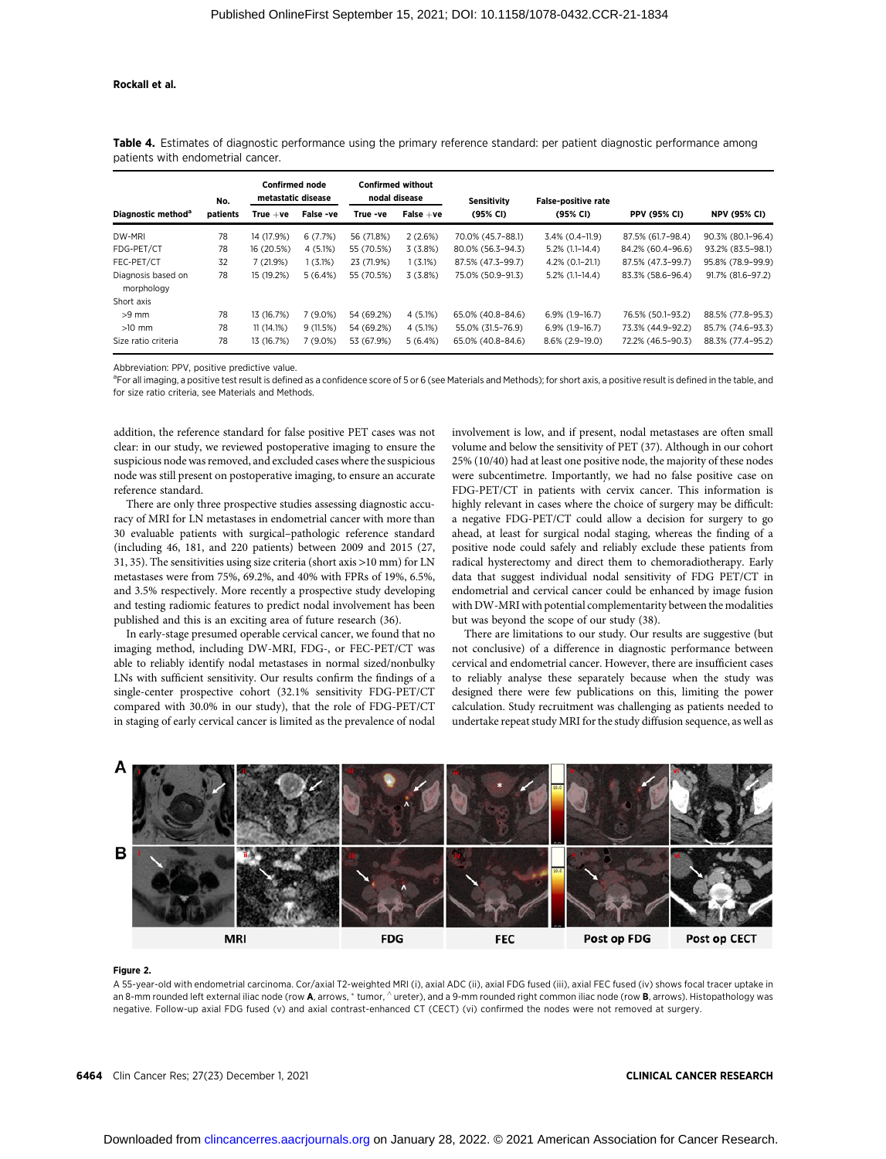| <u> modern according to a community and british in a crisis accuracies to handing and handed borromments and h</u><br>patients with endometrial cancer. |                                             |            |                                           |            |             |                            |                    |                     |                     |
|---------------------------------------------------------------------------------------------------------------------------------------------------------|---------------------------------------------|------------|-------------------------------------------|------------|-------------|----------------------------|--------------------|---------------------|---------------------|
| No.<br>Diagnostic method <sup>a</sup><br>patients                                                                                                       | <b>Confirmed node</b><br>metastatic disease |            | <b>Confirmed without</b><br>nodal disease |            | Sensitivity | <b>False-positive rate</b> |                    |                     |                     |
|                                                                                                                                                         |                                             | True $+ve$ | False -ve                                 | True -ve   | $False +ve$ | (95% CI)                   | (95% CI)           | <b>PPV (95% CI)</b> | <b>NPV (95% CI)</b> |
| DW-MRI                                                                                                                                                  | 78                                          | 14 (17.9%) | 6(7.7%)                                   | 56 (71.8%) | 2(2.6%)     | 70.0% (45.7-88.1)          | $3.4\%$ (0.4-11.9) | 87.5% (61.7-98.4)   | 90.3% (80.1-96.4)   |
| FDG-PET/CT                                                                                                                                              | 78                                          | 16 (20.5%) | 4(5.1%)                                   | 55 (70.5%) | 3(3.8%)     | 80.0% (56.3-94.3)          | $5.2\%$ (1.1-14.4) | 84.2% (60.4-96.6)   | 93.2% (83.5-98.1)   |
| FEC-PET/CT                                                                                                                                              | 32                                          | 7(21.9%)   | 1(3.1%)                                   | 23 (71.9%) | 1(3.1%)     | 87.5% (47.3-99.7)          | $4.2\%$ (0.1-21.1) | 87.5% (47.3-99.7)   | 95.8% (78.9-99.9)   |
| Diagnosis based on<br>morphology                                                                                                                        | 78                                          | 15 (19.2%) | 5(6.4%)                                   | 55 (70.5%) | 3(3.8%)     | 75.0% (50.9-91.3)          | $5.2\%$ (1.1-14.4) | 83.3% (58.6-96.4)   | 91.7% (81.6-97.2)   |
| Short axis                                                                                                                                              |                                             |            |                                           |            |             |                            |                    |                     |                     |
| $>9$ mm                                                                                                                                                 | 78                                          | 13 (16.7%) | $7(9.0\%)$                                | 54 (69.2%) | 4(5.1%)     | 65.0% (40.8-84.6)          | $6.9\%$ (1.9-16.7) | 76.5% (50.1-93.2)   | 88.5% (77.8-95.3)   |
| $>10$ mm                                                                                                                                                | 78                                          | 11(14.1%)  | 9(11.5%)                                  | 54 (69.2%) | 4(5.1%)     | 55.0% (31.5-76.9)          | $6.9\%$ (1.9-16.7) | 73.3% (44.9-92.2)   | 85.7% (74.6-93.3)   |
| Size ratio criteria                                                                                                                                     | 78                                          | 13 (16.7%) | $7(9.0\%)$                                | 53 (67.9%) | 5(6.4%)     | 65.0% (40.8-84.6)          | 8.6% (2.9-19.0)    | 72.2% (46.5-90.3)   | 88.3% (77.4-95.2)   |

Table 4. Estimates of diagnostic performance using the primary reference standard: per patient diagnostic performance among

Abbreviation: PPV, positive predictive value.

<sup>a</sup>For all imaging, a positive test result is defined as a confidence score of 5 or 6 (see Materials and Methods); for short axis, a positive result is defined in the table, and for size ratio criteria, see Materials and Methods.

addition, the reference standard for false positive PET cases was not clear: in our study, we reviewed postoperative imaging to ensure the suspicious node was removed, and excluded cases where the suspicious node was still present on postoperative imaging, to ensure an accurate reference standard.

There are only three prospective studies assessing diagnostic accuracy of MRI for LN metastases in endometrial cancer with more than 30 evaluable patients with surgical–pathologic reference standard (including 46, 181, and 220 patients) between 2009 and 2015 (27, 31, 35). The sensitivities using size criteria (short axis >10 mm) for LN metastases were from 75%, 69.2%, and 40% with FPRs of 19%, 6.5%, and 3.5% respectively. More recently a prospective study developing and testing radiomic features to predict nodal involvement has been published and this is an exciting area of future research (36).

In early-stage presumed operable cervical cancer, we found that no imaging method, including DW-MRI, FDG-, or FEC-PET/CT was able to reliably identify nodal metastases in normal sized/nonbulky LNs with sufficient sensitivity. Our results confirm the findings of a single-center prospective cohort (32.1% sensitivity FDG-PET/CT compared with 30.0% in our study), that the role of FDG-PET/CT in staging of early cervical cancer is limited as the prevalence of nodal involvement is low, and if present, nodal metastases are often small volume and below the sensitivity of PET (37). Although in our cohort 25% (10/40) had at least one positive node, the majority of these nodes were subcentimetre. Importantly, we had no false positive case on FDG-PET/CT in patients with cervix cancer. This information is highly relevant in cases where the choice of surgery may be difficult: a negative FDG-PET/CT could allow a decision for surgery to go ahead, at least for surgical nodal staging, whereas the finding of a positive node could safely and reliably exclude these patients from radical hysterectomy and direct them to chemoradiotherapy. Early data that suggest individual nodal sensitivity of FDG PET/CT in endometrial and cervical cancer could be enhanced by image fusion with DW-MRI with potential complementarity between the modalities but was beyond the scope of our study (38).

There are limitations to our study. Our results are suggestive (but not conclusive) of a difference in diagnostic performance between cervical and endometrial cancer. However, there are insufficient cases to reliably analyse these separately because when the study was designed there were few publications on this, limiting the power calculation. Study recruitment was challenging as patients needed to undertake repeat study MRI for the study diffusion sequence, as well as



## Figure 2.

A 55-year-old with endometrial carcinoma. Cor/axial T2-weighted MRI (i), axial ADC (ii), axial FDG fused (iii), axial FEC fused (iv) shows focal tracer uptake in an 8-mm rounded left external iliac node (row **A**, arrows, \* tumor, ^ ureter), and a 9-mm rounded right common iliac node (row **B**, arrows). Histopathology was negative. Follow-up axial FDG fused (v) and axial contrast-enhanced CT (CECT) (vi) confirmed the nodes were not removed at surgery.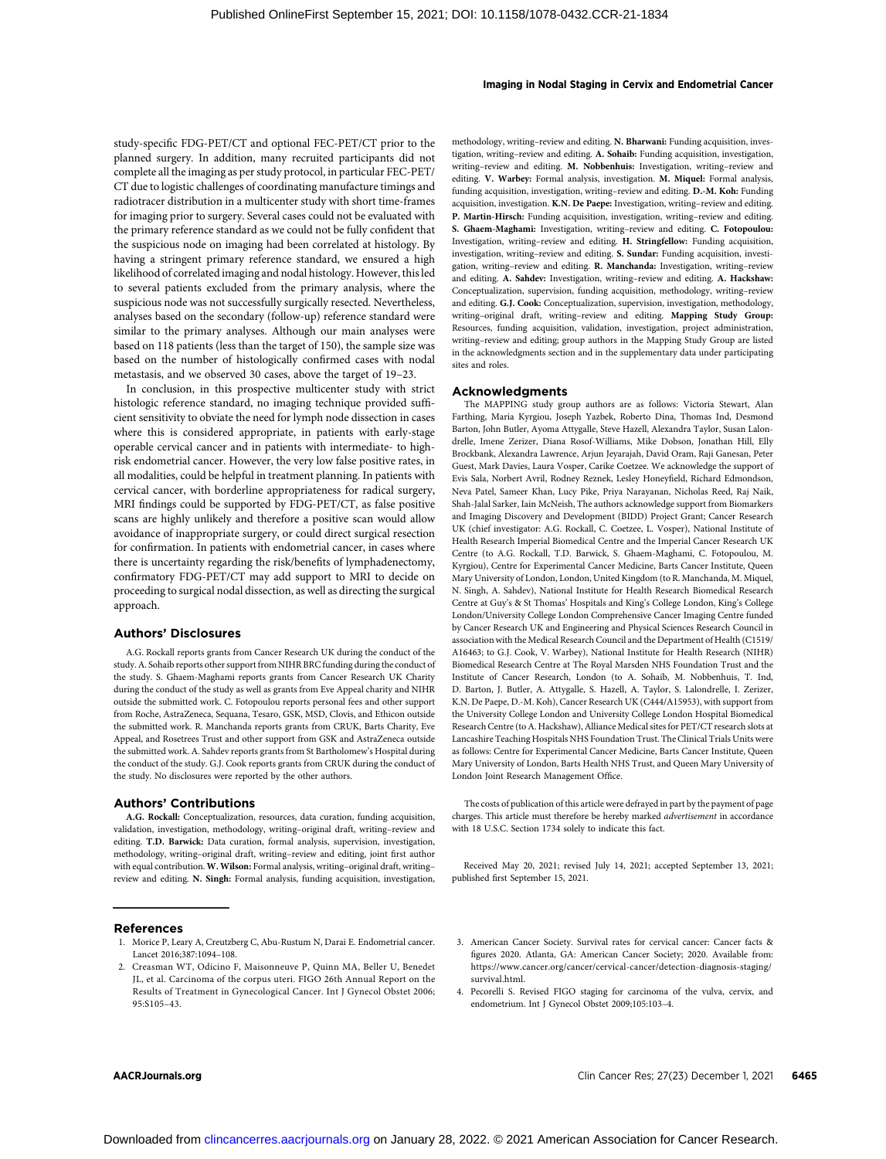study-specific FDG-PET/CT and optional FEC-PET/CT prior to the planned surgery. In addition, many recruited participants did not complete all the imaging as per study protocol, in particular FEC-PET/ CT due to logistic challenges of coordinating manufacture timings and radiotracer distribution in a multicenter study with short time-frames for imaging prior to surgery. Several cases could not be evaluated with the primary reference standard as we could not be fully confident that the suspicious node on imaging had been correlated at histology. By having a stringent primary reference standard, we ensured a high likelihood of correlated imaging and nodal histology. However, this led to several patients excluded from the primary analysis, where the suspicious node was not successfully surgically resected. Nevertheless, analyses based on the secondary (follow-up) reference standard were similar to the primary analyses. Although our main analyses were based on 118 patients (less than the target of 150), the sample size was based on the number of histologically confirmed cases with nodal metastasis, and we observed 30 cases, above the target of 19–23.

In conclusion, in this prospective multicenter study with strict histologic reference standard, no imaging technique provided sufficient sensitivity to obviate the need for lymph node dissection in cases where this is considered appropriate, in patients with early-stage operable cervical cancer and in patients with intermediate- to highrisk endometrial cancer. However, the very low false positive rates, in all modalities, could be helpful in treatment planning. In patients with cervical cancer, with borderline appropriateness for radical surgery, MRI findings could be supported by FDG-PET/CT, as false positive scans are highly unlikely and therefore a positive scan would allow avoidance of inappropriate surgery, or could direct surgical resection for confirmation. In patients with endometrial cancer, in cases where there is uncertainty regarding the risk/benefits of lymphadenectomy, confirmatory FDG-PET/CT may add support to MRI to decide on proceeding to surgical nodal dissection, as well as directing the surgical approach.

## Authors' Disclosures

A.G. Rockall reports grants from Cancer Research UK during the conduct of the study. A. Sohaib reports other support from NIHR BRC funding during the conduct of the study. S. Ghaem-Maghami reports grants from Cancer Research UK Charity during the conduct of the study as well as grants from Eve Appeal charity and NIHR outside the submitted work. C. Fotopoulou reports personal fees and other support from Roche, AstraZeneca, Sequana, Tesaro, GSK, MSD, Clovis, and Ethicon outside the submitted work. R. Manchanda reports grants from CRUK, Barts Charity, Eve Appeal, and Rosetrees Trust and other support from GSK and AstraZeneca outside the submitted work. A. Sahdev reports grants from St Bartholomew's Hospital during the conduct of the study. G.J. Cook reports grants from CRUK during the conduct of the study. No disclosures were reported by the other authors.

## Authors' Contributions

A.G. Rockall: Conceptualization, resources, data curation, funding acquisition, validation, investigation, methodology, writing–original draft, writing–review and editing. T.D. Barwick: Data curation, formal analysis, supervision, investigation, methodology, writing–original draft, writing–review and editing, joint first author with equal contribution. W. Wilson: Formal analysis, writing–original draft, writing– review and editing. N. Singh: Formal analysis, funding acquisition, investigation,

### References

- 1. Morice P, Leary A, Creutzberg C, Abu-Rustum N, Darai E. Endometrial cancer. Lancet 2016;387:1094–108.
- 2. Creasman WT, Odicino F, Maisonneuve P, Quinn MA, Beller U, Benedet JL, et al. Carcinoma of the corpus uteri. FIGO 26th Annual Report on the Results of Treatment in Gynecological Cancer. Int J Gynecol Obstet 2006; 95:S105–43.

methodology, writing–review and editing. N. Bharwani: Funding acquisition, investigation, writing–review and editing. A. Sohaib: Funding acquisition, investigation, writing–review and editing. M. Nobbenhuis: Investigation, writing–review and editing. V. Warbey: Formal analysis, investigation. M. Miquel: Formal analysis, funding acquisition, investigation, writing–review and editing. D.-M. Koh: Funding acquisition, investigation. K.N. De Paepe: Investigation, writing–review and editing. P. Martin-Hirsch: Funding acquisition, investigation, writing–review and editing. S. Ghaem-Maghami: Investigation, writing–review and editing. C. Fotopoulou: Investigation, writing–review and editing. H. Stringfellow: Funding acquisition, investigation, writing–review and editing. S. Sundar: Funding acquisition, investigation, writing–review and editing. R. Manchanda: Investigation, writing–review and editing. A. Sahdev: Investigation, writing–review and editing. A. Hackshaw: Conceptualization, supervision, funding acquisition, methodology, writing–review and editing. G.J. Cook: Conceptualization, supervision, investigation, methodology, writing–original draft, writing–review and editing. Mapping Study Group: Resources, funding acquisition, validation, investigation, project administration, writing–review and editing; group authors in the Mapping Study Group are listed in the acknowledgments section and in the supplementary data under participating sites and roles.

## Acknowledgments

The MAPPING study group authors are as follows: Victoria Stewart, Alan Farthing, Maria Kyrgiou, Joseph Yazbek, Roberto Dina, Thomas Ind, Desmond Barton, John Butler, Ayoma Attygalle, Steve Hazell, Alexandra Taylor, Susan Lalondrelle, Imene Zerizer, Diana Rosof-Williams, Mike Dobson, Jonathan Hill, Elly Brockbank, Alexandra Lawrence, Arjun Jeyarajah, David Oram, Raji Ganesan, Peter Guest, Mark Davies, Laura Vosper, Carike Coetzee. We acknowledge the support of Evis Sala, Norbert Avril, Rodney Reznek, Lesley Honeyfield, Richard Edmondson, Neva Patel, Sameer Khan, Lucy Pike, Priya Narayanan, Nicholas Reed, Raj Naik, Shah-Jalal Sarker, Iain McNeish, The authors acknowledge support from Biomarkers and Imaging Discovery and Development (BIDD) Project Grant; Cancer Research UK (chief investigator: A.G. Rockall, C. Coetzee, L. Vosper), National Institute of Health Research Imperial Biomedical Centre and the Imperial Cancer Research UK Centre (to A.G. Rockall, T.D. Barwick, S. Ghaem-Maghami, C. Fotopoulou, M. Kyrgiou), Centre for Experimental Cancer Medicine, Barts Cancer Institute, Queen Mary University of London, London, United Kingdom (to R. Manchanda, M. Miquel, N. Singh, A. Sahdev), National Institute for Health Research Biomedical Research Centre at Guy's & St Thomas' Hospitals and King's College London, King's College London/University College London Comprehensive Cancer Imaging Centre funded by Cancer Research UK and Engineering and Physical Sciences Research Council in association with the Medical Research Council and the Department of Health (C1519/ A16463; to G.J. Cook, V. Warbey), National Institute for Health Research (NIHR) Biomedical Research Centre at The Royal Marsden NHS Foundation Trust and the Institute of Cancer Research, London (to A. Sohaib, M. Nobbenhuis, T. Ind, D. Barton, J. Butler, A. Attygalle, S. Hazell, A. Taylor, S. Lalondrelle, I. Zerizer, K.N. De Paepe, D.-M. Koh), Cancer Research UK (C444/A15953), with support from the University College London and University College London Hospital Biomedical Research Centre (to A. Hackshaw), Alliance Medical sites for PET/CT research slots at Lancashire Teaching Hospitals NHS Foundation Trust. The Clinical Trials Units were as follows: Centre for Experimental Cancer Medicine, Barts Cancer Institute, Queen Mary University of London, Barts Health NHS Trust, and Queen Mary University of London Joint Research Management Office.

The costs of publication of this article were defrayed in part by the payment of page charges. This article must therefore be hereby marked advertisement in accordance with 18 U.S.C. Section 1734 solely to indicate this fact.

Received May 20, 2021; revised July 14, 2021; accepted September 13, 2021; published first September 15, 2021.

- 3. American Cancer Society. Survival rates for cervical cancer: Cancer facts & figures 2020. Atlanta, GA: American Cancer Society; 2020. Available from: [https://www.cancer.org/cancer/cervical-cancer/detection-diagnosis-staging/](https://www.cancer.org/cancer/cervical-cancer/detection-diagnosis-staging/survival.html) [survival.html](https://www.cancer.org/cancer/cervical-cancer/detection-diagnosis-staging/survival.html).
- 4. Pecorelli S. Revised FIGO staging for carcinoma of the vulva, cervix, and endometrium. Int J Gynecol Obstet 2009;105:103–4.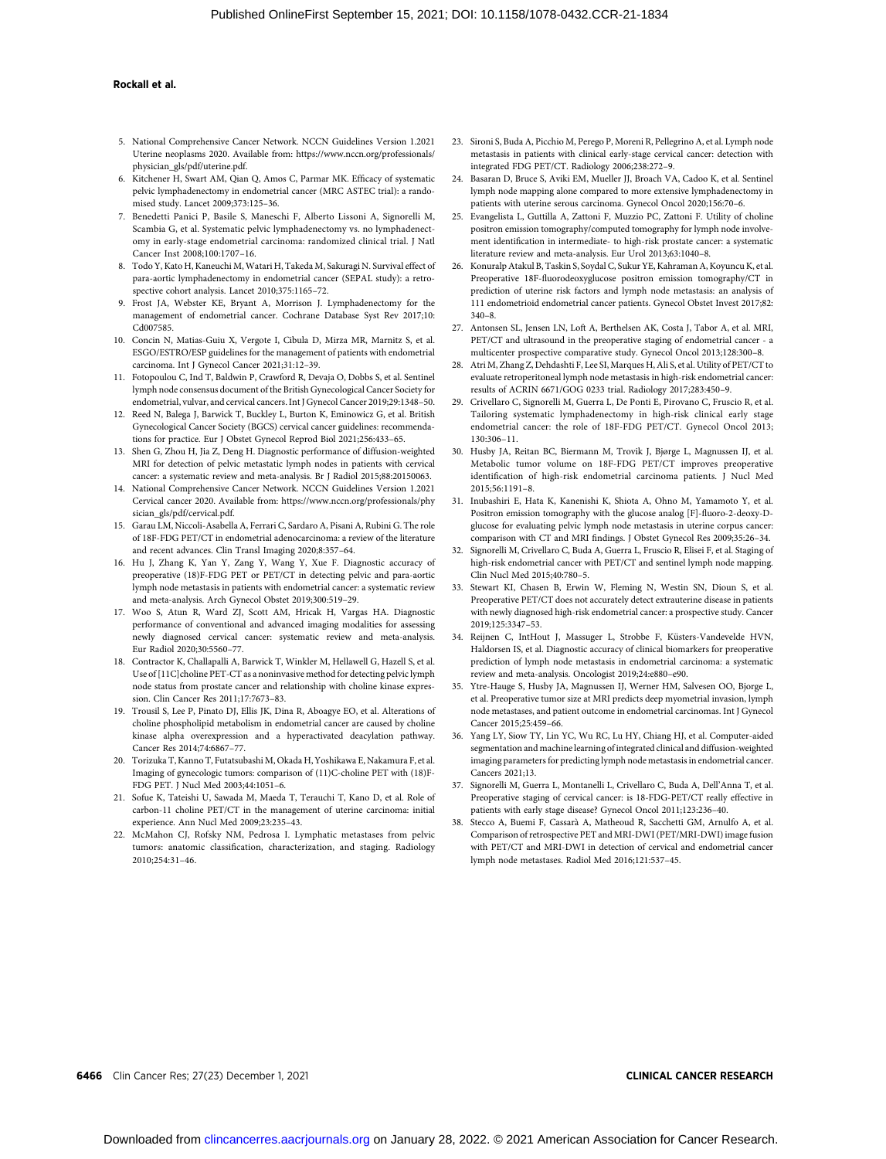- 5. National Comprehensive Cancer Network. NCCN Guidelines Version 1.2021 Uterine neoplasms 2020. Available from: [https://www.nccn.org/professionals/](https://www.nccn.org/professionals/physician_gls/pdf/uterine.pdf) [physician\\_gls/pdf/uterine.pdf.](https://www.nccn.org/professionals/physician_gls/pdf/uterine.pdf)
- 6. Kitchener H, Swart AM, Qian Q, Amos C, Parmar MK. Efficacy of systematic pelvic lymphadenectomy in endometrial cancer (MRC ASTEC trial): a randomised study. Lancet 2009;373:125–36.
- 7. Benedetti Panici P, Basile S, Maneschi F, Alberto Lissoni A, Signorelli M, Scambia G, et al. Systematic pelvic lymphadenectomy vs. no lymphadenectomy in early-stage endometrial carcinoma: randomized clinical trial. J Natl Cancer Inst 2008;100:1707–16.
- 8. Todo Y, Kato H, Kaneuchi M, Watari H, Takeda M, Sakuragi N. Survival effect of para-aortic lymphadenectomy in endometrial cancer (SEPAL study): a retrospective cohort analysis. Lancet 2010;375:1165–72.
- 9. Frost JA, Webster KE, Bryant A, Morrison J. Lymphadenectomy for the management of endometrial cancer. Cochrane Database Syst Rev 2017;10: Cd007585.
- 10. Concin N, Matias-Guiu X, Vergote I, Cibula D, Mirza MR, Marnitz S, et al. ESGO/ESTRO/ESP guidelines for the management of patients with endometrial carcinoma. Int J Gynecol Cancer 2021;31:12–39.
- 11. Fotopoulou C, Ind T, Baldwin P, Crawford R, Devaja O, Dobbs S, et al. Sentinel lymph node consensus document of the British Gynecological Cancer Society for endometrial, vulvar, and cervical cancers. Int J Gynecol Cancer 2019;29:1348–50.
- 12. Reed N, Balega J, Barwick T, Buckley L, Burton K, Eminowicz G, et al. British Gynecological Cancer Society (BGCS) cervical cancer guidelines: recommendations for practice. Eur J Obstet Gynecol Reprod Biol 2021;256:433–65.
- 13. Shen G, Zhou H, Jia Z, Deng H. Diagnostic performance of diffusion-weighted MRI for detection of pelvic metastatic lymph nodes in patients with cervical cancer: a systematic review and meta-analysis. Br J Radiol 2015;88:20150063.
- 14. National Comprehensive Cancer Network. NCCN Guidelines Version 1.2021 Cervical cancer 2020. Available from: [https://www.nccn.org/professionals/phy](https://www.nccn.org/professionals/physician_gls/pdf/cervical.pdf) [sician\\_gls/pdf/cervical.pdf.](https://www.nccn.org/professionals/physician_gls/pdf/cervical.pdf)
- 15. Garau LM, Niccoli-Asabella A, Ferrari C, Sardaro A, Pisani A, Rubini G. The role of 18F-FDG PET/CT in endometrial adenocarcinoma: a review of the literature and recent advances. Clin Transl Imaging 2020;8:357–64.
- 16. Hu J, Zhang K, Yan Y, Zang Y, Wang Y, Xue F. Diagnostic accuracy of preoperative (18)F-FDG PET or PET/CT in detecting pelvic and para-aortic lymph node metastasis in patients with endometrial cancer: a systematic review and meta-analysis. Arch Gynecol Obstet 2019;300:519–29.
- 17. Woo S, Atun R, Ward ZJ, Scott AM, Hricak H, Vargas HA. Diagnostic performance of conventional and advanced imaging modalities for assessing newly diagnosed cervical cancer: systematic review and meta-analysis. Eur Radiol 2020;30:5560–77.
- 18. Contractor K, Challapalli A, Barwick T, Winkler M, Hellawell G, Hazell S, et al. Use of [11C]choline PET-CT as a noninvasive method for detecting pelvic lymph node status from prostate cancer and relationship with choline kinase expression. Clin Cancer Res 2011;17:7673–83.
- 19. Trousil S, Lee P, Pinato DJ, Ellis JK, Dina R, Aboagye EO, et al. Alterations of choline phospholipid metabolism in endometrial cancer are caused by choline kinase alpha overexpression and a hyperactivated deacylation pathway. Cancer Res 2014;74:6867–77.
- 20. Torizuka T, Kanno T, Futatsubashi M, Okada H, Yoshikawa E, Nakamura F, et al. Imaging of gynecologic tumors: comparison of (11)C-choline PET with (18)F-FDG PET. J Nucl Med 2003;44:1051–6.
- 21. Sofue K, Tateishi U, Sawada M, Maeda T, Terauchi T, Kano D, et al. Role of carbon-11 choline PET/CT in the management of uterine carcinoma: initial experience. Ann Nucl Med 2009;23:235–43.
- 22. McMahon CJ, Rofsky NM, Pedrosa I. Lymphatic metastases from pelvic tumors: anatomic classification, characterization, and staging. Radiology 2010;254:31–46.
- 23. Sironi S, Buda A, Picchio M, Perego P, Moreni R, Pellegrino A, et al. Lymph node metastasis in patients with clinical early-stage cervical cancer: detection with integrated FDG PET/CT. Radiology 2006;238:272–9.
- 24. Basaran D, Bruce S, Aviki EM, Mueller JJ, Broach VA, Cadoo K, et al. Sentinel lymph node mapping alone compared to more extensive lymphadenectomy in patients with uterine serous carcinoma. Gynecol Oncol 2020;156:70–6.
- 25. Evangelista L, Guttilla A, Zattoni F, Muzzio PC, Zattoni F. Utility of choline positron emission tomography/computed tomography for lymph node involvement identification in intermediate- to high-risk prostate cancer: a systematic literature review and meta-analysis. Eur Urol 2013;63:1040–8.
- 26. Konuralp Atakul B, Taskin S, Soydal C, Sukur YE, Kahraman A, Koyuncu K, et al. Preoperative 18F-fluorodeoxyglucose positron emission tomography/CT in prediction of uterine risk factors and lymph node metastasis: an analysis of 111 endometrioid endometrial cancer patients. Gynecol Obstet Invest 2017;82: 340–8.
- 27. Antonsen SL, Jensen LN, Loft A, Berthelsen AK, Costa J, Tabor A, et al. MRI, PET/CT and ultrasound in the preoperative staging of endometrial cancer - a multicenter prospective comparative study. Gynecol Oncol 2013;128:300–8.
- 28. Atri M, Zhang Z, Dehdashti F, Lee SI, Marques H, Ali S, et al. Utility of PET/CT to evaluate retroperitoneal lymph node metastasis in high-risk endometrial cancer: results of ACRIN 6671/GOG 0233 trial. Radiology 2017;283:450–9.
- 29. Crivellaro C, Signorelli M, Guerra L, De Ponti E, Pirovano C, Fruscio R, et al. Tailoring systematic lymphadenectomy in high-risk clinical early stage endometrial cancer: the role of 18F-FDG PET/CT. Gynecol Oncol 2013; 130:306–11.
- 30. Husby JA, Reitan BC, Biermann M, Trovik J, Bjørge L, Magnussen IJ, et al. Metabolic tumor volume on 18F-FDG PET/CT improves preoperative identification of high-risk endometrial carcinoma patients. J Nucl Med 2015;56:1191–8.
- 31. Inubashiri E, Hata K, Kanenishi K, Shiota A, Ohno M, Yamamoto Y, et al. Positron emission tomography with the glucose analog [F]-fluoro-2-deoxy-Dglucose for evaluating pelvic lymph node metastasis in uterine corpus cancer: comparison with CT and MRI findings. J Obstet Gynecol Res 2009;35:26–34.
- 32. Signorelli M, Crivellaro C, Buda A, Guerra L, Fruscio R, Elisei F, et al. Staging of high-risk endometrial cancer with PET/CT and sentinel lymph node mapping. Clin Nucl Med 2015;40:780–5.
- 33. Stewart KI, Chasen B, Erwin W, Fleming N, Westin SN, Dioun S, et al. Preoperative PET/CT does not accurately detect extrauterine disease in patients with newly diagnosed high-risk endometrial cancer: a prospective study. Cancer 2019;125:3347–53.
- 34. Reijnen C, IntHout J, Massuger L, Strobbe F, Küsters-Vandevelde HVN, Haldorsen IS, et al. Diagnostic accuracy of clinical biomarkers for preoperative prediction of lymph node metastasis in endometrial carcinoma: a systematic review and meta-analysis. Oncologist 2019;24:e880–e90.
- 35. Ytre-Hauge S, Husby JA, Magnussen IJ, Werner HM, Salvesen OO, Bjorge L, et al. Preoperative tumor size at MRI predicts deep myometrial invasion, lymph node metastases, and patient outcome in endometrial carcinomas. Int J Gynecol Cancer 2015;25:459–66.
- 36. Yang LY, Siow TY, Lin YC, Wu RC, Lu HY, Chiang HJ, et al. Computer-aided segmentation and machine learning of integrated clinical and diffusion-weighted imaging parameters for predicting lymph node metastasis in endometrial cancer. Cancers 2021;13.
- 37. Signorelli M, Guerra L, Montanelli L, Crivellaro C, Buda A, Dell'Anna T, et al. Preoperative staging of cervical cancer: is 18-FDG-PET/CT really effective in patients with early stage disease? Gynecol Oncol 2011;123:236–40.
- 38. Stecco A, Buemi F, Cassarà A, Matheoud R, Sacchetti GM, Arnulfo A, et al. Comparison of retrospective PET and MRI-DWI (PET/MRI-DWI) image fusion with PET/CT and MRI-DWI in detection of cervical and endometrial cancer lymph node metastases. Radiol Med 2016;121:537–45.